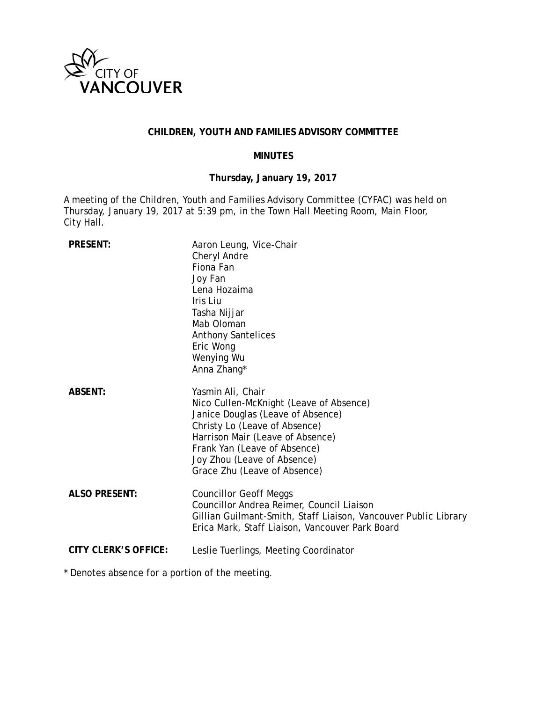

## **CHILDREN, YOUTH AND FAMILIES ADVISORY COMMITTEE**

## **MINUTES**

# **Thursday, January 19, 2017**

A meeting of the Children, Youth and Families Advisory Committee (CYFAC) was held on Thursday, January 19, 2017 at 5:39 pm, in the Town Hall Meeting Room, Main Floor, City Hall.

| <b>PRESENT:</b>             | Aaron Leung, Vice-Chair<br>Cheryl Andre<br>Fiona Fan<br>Joy Fan<br>Lena Hozaima<br>Iris Liu<br>Tasha Nijjar<br>Mab Oloman<br><b>Anthony Santelices</b><br>Eric Wong<br>Wenying Wu<br>Anna Zhang*                                                                      |
|-----------------------------|-----------------------------------------------------------------------------------------------------------------------------------------------------------------------------------------------------------------------------------------------------------------------|
| <b>ABSENT:</b>              | Yasmin Ali, Chair<br>Nico Cullen-McKnight (Leave of Absence)<br>Janice Douglas (Leave of Absence)<br>Christy Lo (Leave of Absence)<br>Harrison Mair (Leave of Absence)<br>Frank Yan (Leave of Absence)<br>Joy Zhou (Leave of Absence)<br>Grace Zhu (Leave of Absence) |
| <b>ALSO PRESENT:</b>        | <b>Councillor Geoff Meggs</b><br>Councillor Andrea Reimer, Council Liaison<br>Gillian Guilmant-Smith, Staff Liaison, Vancouver Public Library<br>Erica Mark, Staff Liaison, Vancouver Park Board                                                                      |
| <b>CITY CLERK'S OFFICE:</b> | Leslie Tuerlings, Meeting Coordinator                                                                                                                                                                                                                                 |

\* Denotes absence for a portion of the meeting.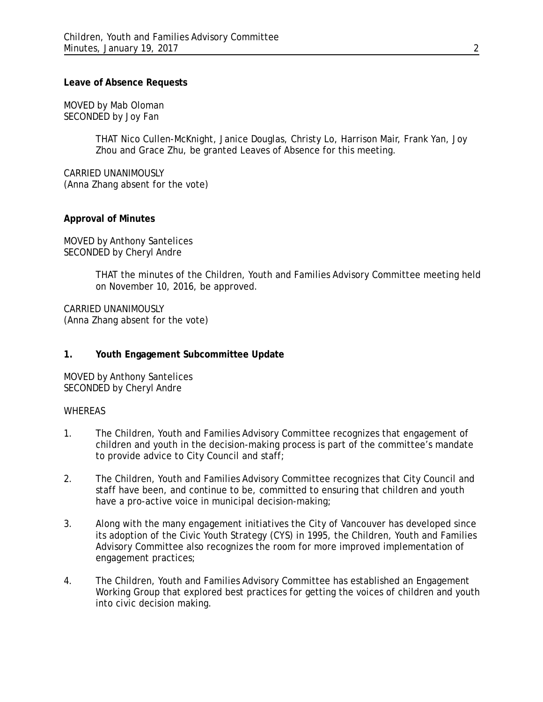### **Leave of Absence Requests**

MOVED by Mab Oloman SECONDED by Joy Fan

> THAT Nico Cullen-McKnight, Janice Douglas, Christy Lo, Harrison Mair, Frank Yan, Joy Zhou and Grace Zhu, be granted Leaves of Absence for this meeting.

CARRIED UNANIMOUSLY (Anna Zhang absent for the vote)

## **Approval of Minutes**

MOVED by Anthony Santelices SECONDED by Cheryl Andre

> THAT the minutes of the Children, Youth and Families Advisory Committee meeting held on November 10, 2016, be approved.

CARRIED UNANIMOUSLY (Anna Zhang absent for the vote)

## **1. Youth Engagement Subcommittee Update**

MOVED by Anthony Santelices SECONDED by Cheryl Andre

### WHEREAS

- 1. The Children, Youth and Families Advisory Committee recognizes that engagement of children and youth in the decision-making process is part of the committee's mandate to provide advice to City Council and staff;
- 2. The Children, Youth and Families Advisory Committee recognizes that City Council and staff have been, and continue to be, committed to ensuring that children and youth have a pro-active voice in municipal decision-making;
- 3. Along with the many engagement initiatives the City of Vancouver has developed since its adoption of the Civic Youth Strategy (CYS) in 1995, the Children, Youth and Families Advisory Committee also recognizes the room for more improved implementation of engagement practices;
- 4. The Children, Youth and Families Advisory Committee has established an Engagement Working Group that explored best practices for getting the voices of children and youth into civic decision making.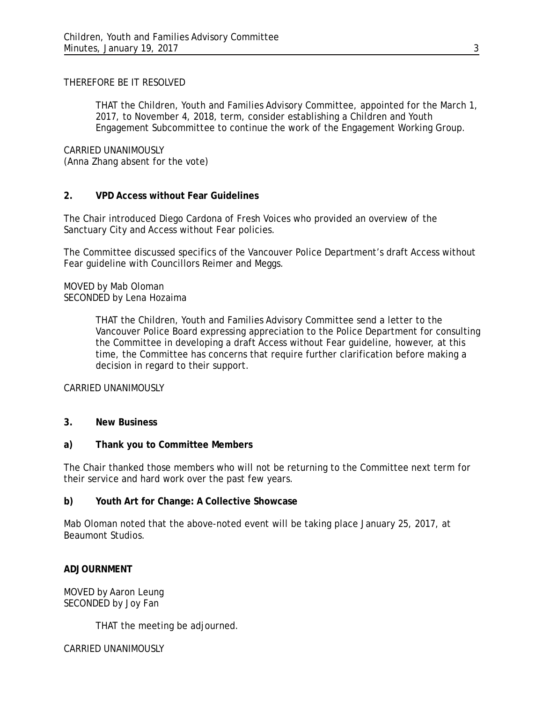## THEREFORE BE IT RESOLVED

THAT the Children, Youth and Families Advisory Committee, appointed for the March 1, 2017, to November 4, 2018, term, consider establishing a Children and Youth Engagement Subcommittee to continue the work of the Engagement Working Group.

CARRIED UNANIMOUSLY (Anna Zhang absent for the vote)

## **2. VPD Access without Fear Guidelines**

The Chair introduced Diego Cardona of Fresh Voices who provided an overview of the Sanctuary City and Access without Fear policies.

The Committee discussed specifics of the Vancouver Police Department's draft Access without Fear guideline with Councillors Reimer and Meggs.

MOVED by Mab Oloman SECONDED by Lena Hozaima

> THAT the Children, Youth and Families Advisory Committee send a letter to the Vancouver Police Board expressing appreciation to the Police Department for consulting the Committee in developing a draft Access without Fear guideline, however, at this time, the Committee has concerns that require further clarification before making a decision in regard to their support.

### CARRIED UNANIMOUSLY

### **3. New Business**

### **a) Thank you to Committee Members**

The Chair thanked those members who will not be returning to the Committee next term for their service and hard work over the past few years.

### **b) Youth Art for Change: A Collective Showcase**

Mab Oloman noted that the above-noted event will be taking place January 25, 2017, at Beaumont Studios.

### **ADJOURNMENT**

MOVED by Aaron Leung SECONDED by Joy Fan

THAT the meeting be adjourned.

CARRIED UNANIMOUSLY